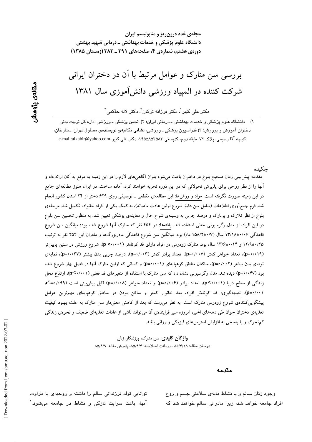مجلهی غدد درون ریز و متابولیسم ایران دانشگاه علوم پزشکی و خدمات بهداشتی ــ درمانی شهید بهشتی دوردی هشتم، شماردی ۴، صفحههای ۳۹۱ ـ ۳۸۳ (زمستان ۱۳۸۵)

# بررسی سن منارک و عوامل مرتبط با آن در دختران ایرانی شرکت کننده در المپیاد ورزشی دانش آموزی سال ۱۳۸۱

دکتر علی کبیر<sup>י</sup>، دکتر فرزانه ترکان<sup>י</sup>، دکتر لاله حاکمی<sup>۳</sup>

۱) ۔ دانشگاه علوم پزشکی و خدمات بهداشتی ـ درمانی ایران؛ ۲) انجمن پزشکی ـ ورزشی اداره کل تربیت بدنی دختران آموزش و پرورش؛ ۳) فدراسیون پزشکی ــ ورزشی، **نشانی مکاتبهی نویسندهی مسئول**:تهران، ستارخان، كوچه آقا رحيمي، پلاک ٧٢، طبقه دوم، کدپستی ٨۴۵۵۸۵۲۵۸۳، دكتر على كبير e-mail:aikabir@yahoo.com

جكىدە

مقدمه: پیش بینی زمان صحیح بلوغ در دختران باعث میشود بتوان آگاهیهای لازم را در این زمینه به موقع به آنان ارائه داد و آنها را از نظر روحی برای پذیرش تحولاتی که در این دوره تجربه خواهند کرد، آماده ساخت. در ایران هنوز مطالعهای جامع در این زمینه صورت نگرفته است. مواد و روشها: این مطالعهی مقطعی ــ توصیفی روی ۶۲۹ دختر از ۲۴ استان کشور انجام شد. فرم جمع[وری اطلاعات (شامل سن دقیق شروع اولین عادت ماهیانه)، به کمک یکی از افراد خانواده تکمیل شد. مرحلهی بلوغ از نظر تلارک و پوبارک و درصد چربی به وسیلهی شرح حال و معاینهی پزشکی تعیین شد. به منظور تخمین سن بلوغ در این افراد، از مدل رگرسیونی خطی استفاده شد. یافتهها: در ۴۵۴ نفر که منارک آنها شروع شده بود؛ میانگین سن شروع قاعدگی ۱۳/۱۸±۰/۰۶ سال (۱۵۸/۲±۰/۷ ماه) بود. میانگین سن شروع قاعدگی مادربزرگها و مادران این ۴۵۴ نفر به ترتیب ۱۲/۹±۰/۲۵ و ۱۳/۶±۰/۱۴ سال بود. منارک زودرس در افراد دارای قد کوتاهتر (p <۰/۰۰۱)، شروع ورزش در سنین پایین تر (p=۰/۰۱۹)، تعداد خواهر کمتر (p=۰/۰۰۷)، تعداد برادر کمتر (p+۰/۰۰۳)، درصد چربی بدن بیشتر (p=۰/۰۳۷)، نمایهی تودهی بدن بیشتر (p=٠/٠٠٢)، ساکنان مناطق کوهپایهای (p=۰/۰۰۱) و کسانی که اولین منارک آنها در فصل بهار شروع شده بود (p=۰/۰۴۷) دیده شد. مدل رگرسیونی نشان داد که سن منارک با استفاده از متغیرهای قد فعلی (p<۰/۰۰۱)، ارتفاع محل زندگی از سطح دریا (p<۰/۰۰۱)، تعداد برادر (p=۰/۰۰۶) و تعداد خواهر (p=۰/۰۰۸) قابل پیش بینی است (۰۹۹–۳<sup>2</sup>۰ (p=۰/۰۰۱). نتیجهگیری: قد کوتاهتر افراد، بعد خانوار کمتر و ساکن بودن در مناطق کوهپایهای مهمترین عوامل پیشگوییکنندهی شروع زودرس منارک است. به نظر میرسد که بعد از کاهش معنیدار سن منارک به علت بهبود کیفیت تغذیهی دختران جوان طی دهههای اخیر، امروزه سیر فزایندهی آن میتواند ناشی از عادات تغذیهای ضعیف و نحوهی زندگی کم تحرک و یا پاسخی به افزایش استرسهای فیزیکی و روانی باشد.

> **واژگان کلیدی**: سن منارک، ورزشکار، زنان دريافت مقاله: ٨٥/۴/١٨ ـ دريافت اصلاحيه: ٨٥/٩/٢ـ پذيرش مقاله: ٨٥/٩/٩

> > مقدمه

وجود زنان سالم و با نشاط مایهی سلامتی جسم و روح افراد جامعه خواهد شد، زیرا مادرانی سالم خواهند شد که

توانایی تولد فرزندانی سالم را داشته و روحیهی با طراوت آنها، باعث سرایت تازگی و نشاط در جامعه میشود.`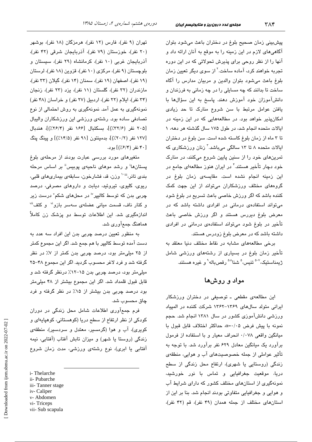پیشبینی زمان صحیح بلوغ در دختران باعث میشود بتوان آگاهی های لازم در این زمینه را به موقع به آنان ارائه داد و آنها را از نظر روحی برای پذیرش تحولاتی که در این دوره تجربه خوا*ه*ند کرد، آماده ساخت.<sup>۲</sup> از سو*ی* دیگر تعیین زمان بلوغ باعث می شود بتوان والدین و مربیان مدارس را آگاه ساخت تا بدانند که چه مسایلی را در چه زمانی به فرزندان و دانشآموزان خود آموزش دهند. پاسخ به این سؤالها با یافتن عوامل مرتبط با سن شروع منارک تا حد زیادی امکانپذیر خواهد بود. در مطالعههایی که در این زمینه در ایالات متحده انجام شد، در طول ۱۷۵ سال گذشته هر دهه، ۱ تا ۳ ماه از زمان بلوغ کاسته شده است. سن بلوغ در دختران ایالات متحده ۸ تا ۱۳ سالگی میباشد.<sup>۲</sup> زنان ورزشکاری که تمرینهای خود را از سنین پایین شروع میکنند، در منارک خود دچار تأخیر هستند.<sup>۴</sup> در ایران هنوز مطالعهای جامع در این زمینه انجام نشده است. مقایسه*ی* زمان بلوغ در گروههای مختلف ورزشکاران میتواند از این جهت کمک کننده باشد که اگر ورزش خاصی باعث تسریع در بلوغ شود میتواند استفادهی درمانی در افرادی داشته باشد که در معرض بلوغ دیررس هستند و اگر ورزش خاصی باعث تأخیر در بلوغ شود میتواند استفادهی درمانی در افرادی داشته باشد که در معرض بلوغ زودرس هستند.

برخی مطالعههای مشابه در نقاط مختلف دنیا معتقد به تأخیر زمان بلوغ در بسیاری از رشتههای ورزشی شامل ژىمناستىك،<sup>7-0</sup> تنىس،<sup>0</sup> شنا<sup>^۰۵</sup> رقصىياله<sup>۹</sup> و غيره ھستند.

### مواد و روشها

این مطالعهی مقطعی ـ توصیفی در دختران ورزشکار ایرانی متولد سالهای ۱۳۶۹–۱۳۶۲ شرکت کننده در المپیاد ورزشی دانشآموزی کشور در سال ۱۳۸۱ انجام شد. حجم نمونه با پیش فرض ۰/۰۵=α حداکثر اختلاف قابل قبول با میانگین واقعی ۰/۰۷۸ انحراف معیار و با استفاده از فرمول برآورد یک میانگین معادل ۶۲۹ نفر برآورد شد. با توجه به تأثیر عواملی از جمله خصوصیتهای آب و هوایی، منطقهی زندگی (روستایی یا شهری)، ارتفاع محل زندگی از سطح دريا، موقعيت جغرافيايى و تماس با نور خورشيد، نمونهگری از استانهای مختلف کشور که دارای شرایط آب و هوایی و جغرافیایی متفاوتی بودند انجام شد. بنا بر این از استان های مختلف از جمله همدان (۴۹ نفر)، قم (۴۲ نفر)،

تهران (۹ نفر)، فارس (۱۲ نفر)، هرمزگان (۱۸ نفر)، بوشهر (۲۰ نفر)، خوزستان (۷۹ نفر)، آذربایجان شرقی (۴۲ نفر)، آذربایجان غربی (١٠ نفر)، كرمانشاه (٢٩ نفر)، سیستان و بلوچستان (۹ نفر)، مرکزی (۱۰ نفر)، قزوین (۱۸ نفر)، لرستان (١٩ نفر)، اصفهان (١٩ نفر)، سمنان (١۴ نفر)، گيلان (٣٣ نفر)، مازندران (۳۲ نفر)، گلستان (۱۱ نفر)، یزد (۲۳ نفر)، زنجان (٣۴ نفر)، ایلام (٢٢ نفر)، اردبیل (٢٧ نفر) و خراسان (۴٨ نفر) نمونهگیری به عمل آمد. نمونهگیری به روش احتمالی از نوع تصادفی ساده بود. رشتهی ورزشی این ورزشکاران والیبال [٢٠۵ نفر (٣٢/٤٪)]، بسكتبال [١٤۶ نفر (٢/٢٤٪)]، هندىال [۱۲۷ نفر (۲۰/۲٪)]، بدمینتون [۹۱ نفر (۱۴/۵٪)] و پینگ پنگ [۴۰ نفر (۶/۴/)] بود.

متغیرهای مورد بررسی عبارت بودند از مرحلهی بلوغ یستانها<sup>ا</sup> و رشد موهای ناحیهی یوبیس<sup>اا</sup> بر اساس مرحله بندي تانر،""` وزن، قد، فشارخون، سابقهي بيماريهاي قلبي، ریوی، کلیوی، تیروئید، دیابت و داروهای مصرفی، درصد چربی بدن که توسط کالبیر<sup>iv</sup> در محلهای شکم<sup>۷</sup> درست زیر و کنار ناف، قسمت میانی عضلهی سهسر بازو<sup>ن</sup> و کتف<sup>ii</sup> اندازهگیری شد. این اطلاعات توسط دو پزشک زن کاملاً هماهنگ جمعآوری شد.

به منظور تعیین درصد چربی بدن این افراد سه عدد به دست آمده توسط کالیپر با هم جمع شد. اگر این مجموع کمتر از ۲۵ میلی متر بود، درصد چربی بدن کمتر از ۷٪ در نظر گرفته شد و فرد لاغر محسوب گردید. اگر این مجموع ۴۸-۲۵ میلی،متر بود، درصد چربی بدن ۱۵–۱۲٪ درنظر گرفته شد و قابل قبول قلمداد شد. اگر این مجموع بیشتر از ۴۸ میلی متر بود درصد چربی بدن بیشتر از ۱۵٪ در نظر گرفته و فرد چاق محسوب شد.

فرم جمعآوری اطلاعات شامل محل زندگی در دوران کودکی از نظر ارتفاع از سطح دریا (کوهستانی، کوهیایهای و کویری)، آب و هوا (گرمسیر، معتدل و سردسیر)، منطقهی زندگی (روستا یا شهر) و میزان تابش آفتاب (آفتابی، نیمه آفتابی یا ابری)، نوع رشتهی ورزشی، مدت زمان شروع

i-Thelarche

- ii- Pubarche
- iii-Tanner stage iv-Caliper
- v-Abdomen
- vi-Triceps
- vii- Sub scapula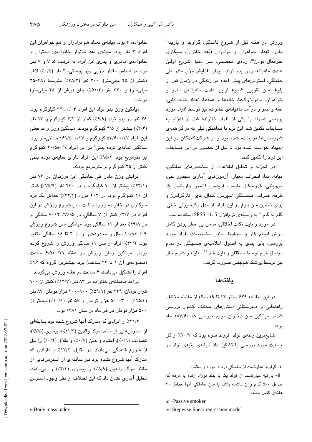ورزش در هفته قبل از شروع قاعدگی، گراوید<sup>:</sup> و پاریته" مادر، تعداد خواهران و برادران (بُعد خانوار)، سیگاری غیرفعال بودن<sup>ان</sup>، ردهی تحصیلی، سن دقیق شروع اولین عادت ماهیانه، وزن بدو تولد، میزان افزایش وزن مادر طی حاملگی، استرسهای پیش آمده در زندگی در زمان قبل از بلوغ، سن تقریبی شروع اولین عادت ماهیانهی مادر و خواهران، مادربزرگها، خالهها و عمهها، تعداد خاله، دایی، عمه و عمو و درآمد ماهیانهی خانواده نیز توسط افراد مورد بررسی همراه با یکی از افراد خانواده قبل از اعزام به مسابقات تکمیل شد. این فرم با هماهنگی قبلی به مراکز همهی شهرستانها فرستاده شده بود و از شرکتکنندگان در این الميياد خواسته شده بود تا قبل از حضور در اين مسابقات این فرم را تکمیل کنند.

در تجزيه و تحليل اطلاعات از شاخصهاى ميانگين، میانه، نما، انحراف معیار، آزمونهای آماری مجدوز خی، من،ويتني، كروسكال واليس، فريدمن، آزمون واريانس يك طرفه، ضرایب همبستگی اسپرمن، کندال، فای، اتا، کرامرز و برای تخمین سن بلوغ در این افراد، از مدل رگرسیونی خطی گام به گام <sup>۱۰</sup> به وسیلهی نرمافزار SPSS 11. 5 استفاده شد.

در مورد رعايت نكات اخلاقى، ضمن بي خطر بودن كامل روش انجام كار و محفوظ ماندن مشخصات افراد مورد بررسی، پای بندی به اصول اعلامیهی هلسینکی در تمام مراحل طرح توسط محققان رعايت شد.'` معاينه و شرح حال نیز توسط پزشک همجنس صورت گرفت.

#### بافتهها

در این مطالعه ۶۲۹ دختر ۱۲ تا ۱۹ ساله از مقاطع مختلف راهنمایی و دبیرستانی استانهای مختلف کشور بررسی شدند. میانگین سن دختران مورد بررسی ۱۸۷/۶±۰/۸ بو د.

شایعترین رتبهی تولد، فرزند سوم بود که ۲۰/۷٪ از کل جمعیت مورد بررسی را تشکیل داد. میانهی رتبهی تولد در

i- گراوید عبارتست از حاملگی (زنده، مرده و سقط).

iii-Passive smoker

iv-Stepwise linear regression model

خانواده، ۳ بود. میانهی تعداد هم برادران و هم خواهران این افراد ٢ نفر بود. میانهی بعد خانوار خانوادهی دختران و خانوادهی مادری و پدری این افراد به ترتیب ۵، ۷ و ۷ نفر بود. بر اساس مقدار چربی زیر پوستی، ۳ نفر (۰/۵٪) لاغر (کمتر از ۲۵ ملل متر)، ۳۰۰ نفر (۴۸/۲٪) متوسط (۴۸-۲۵ میلی متر) و ۳۲۰ نفر (۵۱/۴٪) چاق (بیش از ۴۸ میلی متر) بودند.

میانگین وزن بدو تولد این افراد ۲/۲±۰/۰۴ کیلوگرم بود. ۲۶ نفر در بدو تولد (۶/۹٪) کمتر از ۲/۲ کیلوگرم و ۱۳ نفر (۳/۴٪) بیشتر از ۴/۵ کیلوگرم بودند. میانگین وزن و قد فعلی این افراد ۵۳/۶±۰/۳۳ کیلوگرم و ۱۶۱/۵±۰/۲۷ سانتی متر بود. میانگین نمایهی توده بدنی<sup>،</sup> در این افراد ۲۰/۵±۰/۱ کیلوگرم بر مترمربع بود. ۹۵/۲٪ این افراد دارای نمایهی توده بدنی کمتر از ۲۵ کیلوگرم بر مترمربع بودند.

افزایش وزن مادر طی حاملگی این فرزندان در ۷۶ نفر (۲۴/۱٪) بیشتر از ۱۰ کیلوگرم و در ۲۴۰ نفر (۷۵/۹٪) کمتر از ۱۰ کیلوگرم بود. در ۲۰۲ مورد (۲۲/۶٪) حداقل یک فرد سیگاری در خانواده وجود داشت. سن شروع ورزش در این افراد در ٣/٧٪ کمتر از ٧ سالگی، در ٧۶/۵٪ ١٢-٧ سالگی و در ۱۹/۸٪ بعد از ۱۲ سالگی بود. میانگین سن شروع ورزش ۰/۸±۰/۰۹ سال و محدودهی آن از ۳ تا ۱۶ سالگی متغیر بود. ۴۲/۲٪ افراد از سن ۱۱ سالگی ورزش را شروع کرده بودند. میانگین زمان ورزش در هفته ۶/۵±۰/۲۱ ساعت (محدودهی آن ۱ تا ۳۶ ساعت) بود. بیشترین گروه که ۱۶٪ افراد را تشکیل میدادند، ۶ ساعت در هفته ورزش میکردند.

درآمد ماهیانهی خانواده در ۸۳ نفر (۱۴/۷٪) کمتر از ۱۰۰ هزار تومان، ۳۳۹ نفر (۵۹/۹٪) ۲۰۰–۳۰۰ هزار تومان، ۸۷ نفر (۰٫۵/۴٪) ۵۰۰–۵۰۰ هزار تومان و ۵۷ نفر (۰٫۱۰٪) بیشتر از ۵۰۰ هزار تومان در هر ماه در سال ۱۳۸۱ بود.

۲۱/۶٪ از افرادی که منارک آنها شروع شده بود سابقهای از استرسهایی از مانند مرگ والدین (۱۲/۳٪)، بیماری (۷/۵٪)، تصادف (٠/٩٪)، اعتياد والدين (٠/٧٪) و طلاق (٠/٢٪) را قبل از شروع قاعدگی میدادند. در مقابل، ١٣/٢٪ از افرادی که منارک آنها شروع نشده بود نیز سابقهای از استرسهایی از مانند مرگ والدین (٨/٩٪) و بیماری (٣/٢٪) را میدادند. تحلیل آماری نشان داد که این اختلاف از نظر وجود استرس

ii- پارتیه عبارتست از تولد یک یا چند نوزاد زنده یا مرده که حداقل ۵۰۰ گرم وزن داشته باشد یا سن حاملگی آنها حداقل ۲۰ هفتهى كامل باشد.

v-Body mass index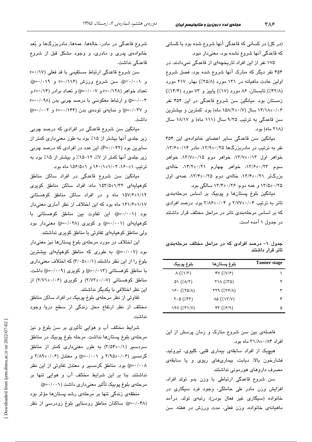(در کل) در کسانی که قاعدگی آنها شروع شده بود با کسانی که قاعدگی آنها شروع نشده بود، معنیدار نبود.

۱۷۵ نفر از این افراد تاریخچهای از قاعدگی نمیدادند. در ۴۵۴ نفر دیگر که منارک آنها شروع شده بود، فصل شروع اولین عادت ماهیانه در ۱۳۱ مورد (۲۵/۸٪) بهار، ۲۱۷ مورد (۴۲/۸٪) تابستان، ۸۶ مورد (۱۷٪) باییز و ۷۳ مورد (۱۴/۴٪) .<br>زمستان بود. میانگین سن شروع قاعدگی در این ۴۵۴ نفر ۱۳/۱۸±۰/۰۶ سال (۱۵۸/۲±۰/۷ ماه) بو د. کمترین و پیشترین سن قاعدگی به ترتیب ۹/۲۵ سال (۱۱۱ ماه) و ۱۸/۱۷ سال (۲۱۸ ماه) بود.

مبانگین سن قاعدگی سایر اعضای خانوادهی این ۴۵۴  $T/7$ نفر به ترتیب در مادرین گها ۱۲/۹±۰/۲/۹، مادر ۱۳/۶±۰/۱۴،  $\Rightarrow$  خواهر اول ۱۳/۷±۰/۱۲، خواهر دوم ۱۳/۷±۰/۱۵، خواهر  $\omega$ سوم ۱۳/۶±۰/۲۲، خواهر چهارم ۱۴/۲±۰/۲۱، خاله بزرگتر ۰/۲/۴±۰/۲۱، خالهی دوم ۱۳/۴±۰/۲۵، عمهی اول ۱۳/۵±۰/۲۵ و عمه دوم: ۱۳/۴±۰/۲۶ سالگی بود.

مبانگین بلوغ بستانها و پوییک پر اساس مرحلهبن*دی*  $\gamma = \frac{1}{2}$ تانر به ترتیب ۲/۷۷±۰/۰۴ و ۲/۸۶±۰/۰۴ بود. درصد افرادی كه بر اساس مرحلهبندى تانر در مراحل مختلف قرار داشتند در جدول ۱ آمده است.

جدول ۱– درصد افرادی که در مراحل مختلف مرحلهبندی تانر قرار داشتند

| بلوغ پوبيک                               | بلوغ پستانها                                                   | <b>Tanner</b> stage |
|------------------------------------------|----------------------------------------------------------------|---------------------|
| $\Lambda$ (% $\Lambda$ / $\tau$ )        | $\mathcal{N}(\mathcal{X},\mathcal{Y})\mathcal{Y}(\mathcal{Y})$ |                     |
| $\Delta Y$ ( $\lambda/\lambda/\lambda$ ) | $Y \setminus \wedge (75)$                                      | ۲                   |
| $\sqrt{2} \cdot (7.80/\Lambda)$          | $\tau\tau\gamma$ ( $\pi$ ۶/۸)                                  | ٣                   |
| $Y \cdot \Delta$ (XTT)                   | $\lambda \Delta$ ( $\lambda \lambda \gamma$ )                  |                     |
|                                          | rr(7.5/9)                                                      | ۵                   |

فاصلهی بین سن شروع منارک و زمان پرسش از این افراد ۳۱/۸±۰/۸۴ ماه بود.

هیچیک از افراد سابقهی بیماری قلبی کلیوی، تیروئید، فشارخون بالا، دبابت، بیماریهای ربوی و با سابقهی مصرف داروهای هورمونی نداشتند.

سن شروع قاعدگی ارتباطی با وزن بدو تولد افراد، افزایش وزن مادر طی حاملگی، وجود فرد سیگاری در خانواده (سيگاري غير فعال بودن)، رتبهي تولد، درآمد ماهيانهي خانواده، وزن فعلي، مدت ورزش در هفته، سن

شروع قاعدگی در مادر، خالهها، عمهها، مادربزرگها و بُعد خانوادهی پدری و مادری، و وجود مشکل قبل از شروع قاعدگی نداشت.

سن شروع قاعدگی ارتباط مستقیمی با قد فعلی (۱۷/ -=r  $(p=+/-\land \gamma)$ و r=۱/۱۱۶)، سن شروع ورزش (۲۱/۱۶=r  $r = \cdot / \sqrt{(\gamma + 1)^2}$  تعداد خواهر (۱۲۸/۱=۲ و (۱۰۰۷=۲ p=۰/۰۰۳) و ارتباط معکوسی با درصد چربی بدن (۰۹۸–r=  $(p=\cdot/\cdot \cdot \tau)$ و (p=۰/۰۳۷ تودهی بدن (۱۴۴/۱-=r و p=۰/۰۰۲ داشت.

مبانگین سن شروع قاعدگے در افرادی که درصد حربے زیر حلدی آنها بیشتر از ۱۵٪ بود به طور معنیداری کمتر از سایرین بود (P=۰/۰۴۲). این عدد در افرادی که درصد چربی  $(4.8)$  در حلدی آنها کمتر از ۰/۷٪  $(7.8)$ ه دستمتر از ۱۵٪ بود به  $\frac{1}{2}$ قر تیب ۱۵۶۰ $\frac{1}{2}$ ۰۲ (۲۰۰۲ $\frac{1}{2}$ ۰۲ ماه بود.

مبانگین سن شروع قاعدگی در افراد ساکن مناطق کوهپایهای ۱۵۳/۵±۱۵۳/۵ ماه، افراد ساکن مناطق کویری ۱۵۷/۶±۱/۱۲ ماه و در افراد ساکن مناطق کوهستانی ۱۶۱/۶±۱/۱۷ ماه بود که این اختلاف از نظر آماری معنیدار بود (p=۰/۰۰۱). این تفاوت بین مناطق کوهستانی با  $(p=\cdot\mid\cdot\cdot\mid)$  کوهیایهای  $(p=\cdot\mid\cdot\cdot\mid)$  و کویری  $(p=\cdot\mid\cdot\cdot\mid)$  معنی دار بود ولی مناطق کوهیایهای تفاوتی با مناطق کویری نداشتند.

این اختلاف در مورد مرحلهی بلوغ بستانها نیز معنی دار بود (p=۰/۰۰۷). به طوری که مناطق کوهیایهای بیشترین بلوغ را از این نظر داشتند (۱/۰۵±۲/۰۵) که اختلاف معنیداری با مناطق کوهستانی (۱۲۰/۱۳) و کویری (p=۰/۰۰۹) داشت. (۲/۷۲±۰/۰۶) و کویری (۲/۷۲±۲/۷۱) از این نظر اختلافی با یکدیگر نداشتند.

تفاو تي از نظر مرحلهي بلوغ يوبيک در افراد ساکن مناطق مختلف از نظر ارتفاع محل زندگی از سطح دریا وجود نداشت.

شرايط مختلف آب و هوايي تأثيري پر سن بلوغ و نيز مرحلهي بلوغ بستانها نداشت. مرحله بلوغ بوبيک در مناطق  $(5/3)$ سردسیر (۲/۵۴±۰/۱) به طور معنیداری کمتر از مناطق گرمسیر (۲/۹۵±۰/۰۶ و p=۰/۰۰۱) و معتدل (۲/۸۹±۰/۰۶ و p=۰/۰۰۸) بود. مناطق گرمسیر و معتدل تفاوتی از این نظر نداشتند. بنا بر این شرایط مختلف آب و هوایی تنها بر مرحلهي بلوغ پوبيک تأثير معنى داري داشت (p=٠/٠٠١).

منطقهی زندگی تنها بر مرحلهی رشد بستانها مؤثر بود (p=۰/۰۴۸). ساکنان مناطق روستایی بلوغ زودرسی از نظر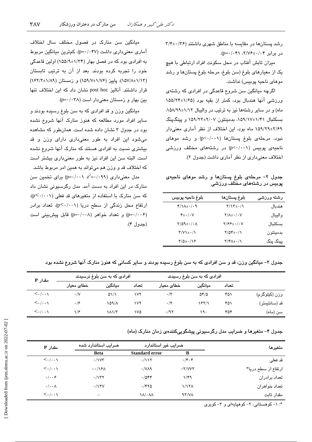رشد پستانها در مقایسه با مناطق شهری داشتند (۳۶/۴±۰/۳۶ در برابر ۲/۷۶±۰/۰۴۱ (p=۰/۰۴۱).

میزان تابش آفتاب در محل سکونت افراد ارتباطی با هیچ يک از معيارهاي بلوغ (سن بلوغ، مرحله بلوغ پستانها و رشد موهای ناحیه پوبیس) نداشت.

اگرچه میانگین سن شروع قاعدگی در افرادی که رشتهی ورزشی آنها هندبال بود، کمتر از بقیه بود (۱/۶۵±۱۵۵/۲۴ ماه) و در سایر رشتهها نیز به ترتیب در والیبال ۱/۱۲±۰/۸۹۸، بسکتبال ۱/۴۱±۱/۹۸، بدمینتون ۲/۰۷±۲/۲۲ و پینگپنگ ۲/۶۹±۲/۶۹ ماه بود، این اختلاف از نظر آماری معنیدار نبود. مرحلهی بلوغ پستانها (p<٠/٠٠١) و رشد موهای ناحیهی پوبیس (p<٠/٠٠١) در رشتههای مختلف ورزشی اختلاف معنیداری از نظر آماری داشت (جدول ۲).

جدول ٢- مرحلهى بلوغ پستانها و رشد موهاى ناحيهى پوبیس در رشتههای مختلف ورزشی

| بلوغ ناحيه پوبيس                                 | بلوغ پستانها                                   | رشته ورزشى |
|--------------------------------------------------|------------------------------------------------|------------|
| $f/\lambda + \cdot$ /.9                          | $\Upsilon/\Upsilon \pm \cdot/\Upsilon$         | هندىال     |
| $\mathbf{f} \pm \cdot / \cdot \mathbf{V}$        | $Y/\Lambda \pm \cdot / \cdot V$                | واليبال    |
| $\Upsilon/\Delta\Lambda \pm \cdot/\cdot \Lambda$ | $Y/\mathcal{F}\mathcal{F} \pm \cdot / \cdot V$ | بسكتبال    |
| $Y/V$ + $\cdot/$                                 | $Y/\Delta f \pm \cdot / \sqrt{}$               | بدمينتون   |
| $\frac{1}{2}$                                    | $Y/Y\Lambda_{\pm}$ . $/\Lambda$                | پینگ پنگ   |

میانگین سن منارک در فصول مختلف سال اختلاف آماری معنی داری داشت (p=۰/۰۴۷). کمترین میانگین مربوط به افرادی بود که در فصل بهار (۱/۳۴±۱۵۵/۹) اولین قاعدگی خود را تجربه کرده بودند. بعد از آن به ترتیب تابستان (١/٨٣±١/١٨٩)، يابيز (١/٧±١/٥٩/٧) و زمستان (١/٩٢±١/٢) قرار داشتند. آنالیز post hoc نشان داد که این اختلاف تنها بین بهار و زمستان معنی دار است (p=٠/٠٣٨).

میانگین وزن و قد افرادی که به سن بلوغ رسیده بودند و سایر افراد مورد مطالعه که هنوز منارک آنها شروع نشده بود در جدول ۳ نشان داده شده است. همانطور که مشاهده میشود این افراد به طور معنیداری دارای وزن و قد بیشتری نسبت به افرادی هستند که منارک آنها شروع نشده است. البته سن این افراد نیز به طور معنیداری بیشتر است که اختلاف قد و وزن هم میتواند به همین امر مربوط باشد.

 $p = \cdot / \cdot \cdot \cdot x^2 = \cdot / \cdot \cdot \cdot$ مدل معنی داری (۰٫۹۹  $r^2 = \cdot / \cdot \cdot \cdot$ منارک در این افراد به دست آمد. مدل رگرسیونی نشان داد  $(p<\cdot/\cdot\cdot)$  که سن منارک با استفاده از متغیرهای قد فعلی ارتفاع محل زندگی از سطح دریا (p<۰/۰۰۱)، تعداد برادر (p=٠/٠٠۶) و تعداد خواهر (p=٠/٠٠٨) قابل پیش بینی است (جدول ۴).

جدول ۳– میانگین وزن، قد و سن افرادی که به سن بلوغ رسیده بودند و سایر کسانی که هنوز منارک آنها شروع نشده بود

| مقدار P                               | افرادی که به سن بلوغ نرسیدند |                          | افرادی که به سن بلوغ رسیدند |              |                   |       |               |
|---------------------------------------|------------------------------|--------------------------|-----------------------------|--------------|-------------------|-------|---------------|
|                                       | ـخطا <i>ی</i> معیار          | ميانگين                  | تعداد                       | خطای معبار   | مىانگىن           | تعداد |               |
| $\langle \cdot   \cdot \cdot \rangle$ | $\cdot/\vee$                 | $\Delta \frac{1}{2}$     | ۱۷۲                         | $\cdot$ /۳   | $\Delta f/\Delta$ | ۴۵۱   | وزن (کیلوگرم) |
| $\langle \ldots \rangle$              | .19                          | 109/1                    | ۱۷۲                         | $\cdot/\tau$ | 1821              | ۴۵۱   | قد (سانتيمتر) |
| $\langle \ldots \rangle$              | 1/5                          | $\lambda \lambda / \tau$ | ۱۷۵                         | .797         | ۱۹۰               | ۴۵۴   | سن (ماه)      |

جدول ۴– متغیرها و ضرایب مدل رگرسیونی پیشگوییکنندهی زمان منارک (ماه)

| مقدار P                               | ضرایب استاندارد شده      | ضرایب غیر استاندارد           |              | متغىرها             |
|---------------------------------------|--------------------------|-------------------------------|--------------|---------------------|
|                                       | <b>Beta</b>              | <b>Standard error</b>         | B            |                     |
| $\langle \cdot   \cdot \cdot \rangle$ | $\cdot$ / $\vee\vee\vee$ | $\cdot$ /117                  | $\cdot$ /۴۰۴ | قد فعلي             |
| $\langle ./ \rangle$                  | $-\cdot/\sqrt{2\pi}$     | $\cdot$ /VA9                  | $-Y/VVY$     | ارتفاع از سطح دریا* |
| $\cdot/\cdot\cdot$ ۶                  | .7157                    | .7044                         | ۱/۴۹         | تعداد برادران       |
| $\cdot/\cdot\cdot\wedge$              | $\cdot$ /15 $V$          | .7870                         | 1/171        | تعداد خواهران       |
| $\langle ./ \rangle$                  |                          | $\lambda/\cdot\lambda\lambda$ | 97/V         | مقدار ثابت          |

\*: ١- کوهستانی، ٢- کوهیایهای و ٣- کویری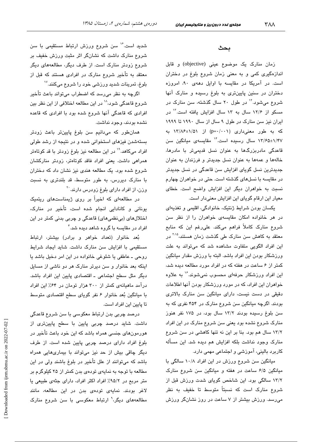شدید است.<sup>۱۶</sup> سن شروع ورزش ارتباط مستقیمی با سن شروع منارک داشت که نشانگر اثر مثبت ورزش خفیف بر شروع زودتر منارک است. از طرف دیگر، مطالعههای دیگر معتقد به تأخیر شروع منارک در افرادی هستند که قبل از بلوغ، تمرینات شدید ورزشی خود را شروع میکنند. ```

اگرچه به نظر میرسد که اضطراب میتواند باعث تأخیر شروع قاعدگی شود، `` در این مطالعه اختلافی از این نظر بین افرادی که قاعدگی آنها شروع شده بود با افرادی که قاعده نشده بودند، وجود نداشت.

همانطور که میدانیم سن بلوغ پایینتر باعث زودتر بستهشدن فیزهای استخوانی شده و در نتیجه از رشد طولی افراد میکاهد.<sup>۱۹</sup> در این مطالعه نیز بلوغ زودتر با قد کوتاهتر همراهی داشت. یعنی افراد فاقد کوتاهتر، زودتر منارکشان شروع شده بود. یک مطالعه هندی نیز نشان داد که دختران با منارک دیررس، به طور متوسط، قد بلندتری به نسبت وزن، از افراد دارای بلوغ زودرس دارند. <sup>۲۰</sup>

در مطالعهای که اخیراً بر روی ژیمناستهای ریتمیک یونانی و کانادایی انجام شده است، تأخیر در منارک، اختلالهای (بینظمیهای) قاعدگی و چربی بدنی کمتر در این افراد در مقاسیه یا گروه شاهد دیده شد. ٔ

بُعد خانوار (تعداد خواهر و برادر) بیشتر، ارتباط مستقیمی با افزایش سن منارک داشت. شاید ایجاد شرایط روحي ــ عاطفي يا شلوغي خانواده در اين امر دخيل باشد يا اینکه بعد خانوار و سن دیرتر منارک هر دو ناشی از مسایل دیگر مثل سطح اجتماعی ـ اقتصادی پایین این افراد باشد. درآمد ماهیانهی کمتر از ۳۰۰ هزار تومان در ۶۴٪ این افراد با میانگین بُعد خانوار ۶ نفر گویای سطح اقتصادی متوسط تا پایین این افراد است.

درصد چربی بدن ارتباط معکوسی با سن شروع قاعدگی داشت. شاید درصد چربی پایین با سطح پایینتری از هورمونهای جنسی همراه باشد که این خود باعث تأخیر در بلوغ افراد دارای درصد چربی پایین شده است. از طرف دیگر چاقی بیش از حد نیز میتواند با بیماریهایی همراه باشد که میتوانند از علل تأخیر در بلوغ باشند ولی در این مطالعه با توجه به نمایهی تودهی بدن کمتر از ۲۵ کیلوگرم بر متر مربع در ۹۵/۲٪ افراد اکثر افراد، دارای جثهی طبیعی یا لاغر بودند. نمایهی تودهی بدن در این مطالعه، مانند مطالعههای دیگر،<sup>۹</sup> ارتباط معکوسی با سن شروع منارک

#### بحث

زمان منارک یک موضوع عینی (objective) و قابل اندازهگیری کمی و به معنی زمان شروع بلوغ در دختران است. در آمریکا در مقایسه با اوایل دههی ۹۰، امروزه دختران در سنین پایینتری به بلوغ رسیده و منارک آنها شروع میشود.<sup>۱۲</sup> در طول ۲۰ سال گذشته، سن منارک در مسکو از ۱۲/۶ سال به ۱۳ سال افزایش یافته است.<sup>۱۲</sup> در ایران نیز سن منارک در طول ۹ سال از سال ۱۹۹۰ تا ۱۹۹۹ که به طور معنیداری (p=۰/۰۰۱) از ۱۳/۸۶±۱/۵۱ به ۱/۴۷±۱/۴۵ سال رسیده است.<sup>۱۴</sup> مقایسه یمیانگین سن قاعدگی مادربزرگها به عنوان نسل قدیمیتر با مادرها، خالهها و عمهها به عنوان نسل جدیدتر و فرزندان به عنوان جدیدترین نسل گویای افزایش سن قاعدگی در نسل جدیدتر در مقایسه با نسلهای گذشته است. حتی در خواهران چهارم نسبت به خواهران دیگر این افزایش واضح است. خطای معیار این ارقام گویای این افزایش معنیدار است.

یکسان بودن شرایط ژنتیک، خانوادگی، اقلیمی و تغذیهای در هر خانواده امکان مقایسهی خواهران را از نظر سن شروع منارک کاملاً فراهم میکند. علیرغم این که منابع معتقد به کاهش سن منارک طی گذشت زمان هستند،<sup>۳،۱۵</sup> در این افراد الگویی متفاوت مشاهده شد که میتواند به علت ورزشكار بودن اين افراد باشد. البته با ورزش مقدار ميانگين کمتر از ۶ ساعت در هفته که در افراد مورد مطالعه دیده شد، این افراد ورزشکار حرفهای محسوب نمیشوند. ٔ` به علاوه خواهران این افراد، که در مورد ورزشکار بودن آنها اطلاعات دقیقی در دست نیست، دارای میانگین سن منارک بالاتری بودند. اگرچه میانگین سن شروع منارک در ۴۵۴ نفری که به سن بلوغ رسیده بودند ۱۳/۲ سال بود، در ۱۷۵ نفر هنوز منارک شروع نشده بود یعنی سن شروع منارک در این افراد ۱۳/۲ سال هم بود. بنا بر این نه تنها کاهشی در سن شروع منارک وجود نداشت بلکه افزایش هم دیده شد. این مسأله کاربرد بالینی، آموزشی و اجتماعی مهمی دارد.

میانگین سن شروع ورزش در این افراد ۱۰/۸ سالگی با میانگین ۶/۵ ساعت در هفته و میانگین سن شروع منارک ۱۳/۲ سالگی بود. این شاخص گویای شدت ورزش قبل از شروع منارک است که نسبتاً متوسط تا خفیف به نظر میرسد. ورزش بیشتر از ۷ ساعت در روز نشانگر ورزش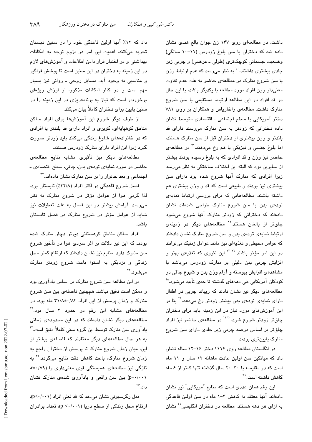داشت. در مطالعهای روی ۱۴۷ زن جوان بالغ هندی نشان داده شد که دختران با سن بلوغ زودرس (١١-١٠ سالگی) وضعیت جسمانی کوچکتری (طولی ـ عرضی) و چربی زیر جل*دی* بیشتری داشتند. <sup>۲۰</sup> به نظر میرسد که عدم ارتباط وزن با سن شروع منارک در مطالعهی حاضر به علت عدم تفاوت معنی دار وزن افراد مورد مطالعه با یکدیگر باشد، با این حال در قد افراد در این مطالعه ارتباط مستقیمی با سن شروع منارک داشت. مطالعهی زاخاریاس و همکاران بر روی ۷۸۱ دختر آمريكايي با سطح اجتماعي - اقتصادى متوسط نشان داده دخترانی که زودتر به سن منارک می رسند دارای قد بلندتر و وزن بیشتری از دختران قبل از سن منارک هستند، اما بلوغ جنسی و فیزیکی با هم رخ میدهند.<sup>۲۱</sup> در مطالعهی حاضر نیز وزن و قد افرادی که به بلوغ رسیده بودند بیشتر از سایرین بود که البته این اختلاف ساختگی به نظر می رسد زیرا افرادی که منارک آنها شروع شده بود دارای سن بیشتری نیز بودند و طبیعی است که قد و وزن بیشتری هم داشته باشند. مطالعههایی که برای بررسی ارتباط نمایهی تودهی بدن با سن شروع منارک طراحی شدهاند نشان دادهاند که دخترانی که زودتر منارک آنها شروع میشود چاقتر از بالغان هستند.<sup>۲۲</sup> مطالعههای دیگر در زمینهی ارتباط نمایهی تودهی بدن و سن شروع منارک نشان دادهاند که عوامل محیطی و تغذیهای نیز مانند عوامل ژنتیک میتوانند در این امر مؤثر باشند.<sup>۲۲–۲۲</sup> این تئوری که تغذیهی بهتر و افزایش چربی بدن دلیلی بر منارک زودرس میباشد با مشاهدهی افزایش پیوسته و آرام وزن بدن و شیوع چاقی در کودکان آمريکايي طي دهههاي گذشته تا حدي تأييد مي شود.<sup>۲۸</sup> مطالعههای دیگر نیز نشان دادند که ریباند چربی در اطفال دارای نمایهی تودهی بدن بیشتر زودتر رخ میدهد.<sup>۲۹</sup> بنا بر این آموزشهای مورد نیاز در این زمینه باید برای دختران چاقتر زودتر شروع شود.<sup>۱۲،۳۰</sup> در مطالعهی حاضر نیز افراد چاقتر بر اساس درصد چربی زیر جلدی دارای سن شروع منارک پایینتری بودند.

در انگلستان مطالعه روی ۱۱۱۶ دختر ۱۶–۱۲ ساله نشان داد که میانگین سن اولین عادت ماهانه ١٢ سال و ١١ ماه است که در مقایسه با ۳۰-۲۰ سال گذشته تنها کمتر از ۶ ماه كاهش داشته است.<sup>۳۱</sup>

این رقم همان عددی است که منابع آمریکایی ٔ نیز نشان دادهاند. آنها معتقد به کاهش ۳-۱ ماه در سن اولین قاعدگی به ازای هر دهه هستند. مطالعه در دختران انگلیسی<sup>۳۰</sup> نشان

داد که ۱۲٪ آنها اولین قاعدگی خود را در سنین دبستان تجربه میکنند. اهمیت این امر در لزوم توجه به امکانات بهداشتی و در اختیار قرار دادن اطلاعات و آموزشهای لازم در این زمینه به دختران در این سنین است تا پوشش فراگیر و مناسبی به وجود آید. مسایل روحی ـ روانی نیز بسیار مهم است و در کنار امکانات مذکور، از ارزش ویژهای برخوردار است که نیاز به برنامهریزی در این زمینه را در سنين پايين براي دختران كاملاً بيان ميكند.

از طرف دیگر شروع این آموزشها برای افراد ساکن مناطق کوهپایهای، کویری و افراد دارای قد بلندتر یا افرادی که در خانوادههای شلوغ زندگی میکنند باید زودتر صورت گیرد زیرا این افراد دارای منارک زودرس هستند.

مطالعههای دیگر نیز تأثیری مشابه نتایج مطالعهی حاضر در مورد نمايهي تودهي بدن، چاقي، سطح اقتصادي ــ اجتماعی و بعد خانوار را بر سن منارک نشان دادهاند.<sup>۳۲</sup>

فصل شروع قاعدگی در اکثر افراد (۴۲/۸٪) تابستان بود. لذا گرمی هوا از عوامل مؤثر در شروع منارک به نظر می رسد. آرامش بیشتر در این فصل به علت تعطیلات نیز شاید از عوامل مؤثر در شروع منارک در فصل تابستان ىاشد.

افراد ساکن مناطق کوهستانی دیرتر دچار منارک شده بودند که این نیز دلالت بر اثر سردی هوا در تأخیر شروع سن منارک دارد. منابع نیز نشان دادهاند که ارتفاع کمتر محل زندگی و نزدیکی به استوا باعث شروع زودتر منارک مے شود. ۳

در این مطالعه سن شروع منارک بر اساس یادآوری بود و ممكن است دقيق نباشد. همچنين فاصلهى بين سن شروع منارک و زمان پرسش از این افراد ۳۱/۸±۰/۸۴ ماه بود. در مطالعههای مشابه این رقم در حدود ۳ سال بود.<sup>۱۲</sup> مطالعههای دیگر نشان دادهاند که در این محدودهی زمانی یادآوری سن منارک توسط این گروه سنی کاملاً دقیق است." به هر حال مطالعههای دیگر معتقدند که فاصلهی بیشتر از این، میان زمان شروع منارک تا پرسش از دختران راجع به زمان شروع منارک، باعث کاهش دقت نتایج میگردد.<sup>۳۵</sup> به تازگی نیز مطالعهای، همبستگی قوی معنیداری را (۷۹/۰=<sub>1</sub> p=۰/۰۰۱) بین سن واقعی و یادآوری شدهی منارک نشان داد.″

مدل رگرسیونی نشان میدهد که قد فعلی افراد (p<٠/٠١)، ارتفاع محل زندگی از سطح دریا (p < · / · · ))، تعداد برادران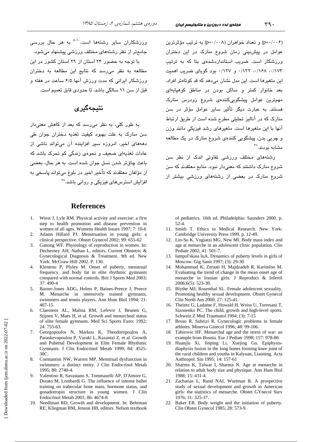(p=۰/۰۰۶) و تعداد خواهران (p=۰/۰۰۸) به ترتیب مؤثرترین عوامل در پیش سنی زمان شروع منارک در این دختران ورزشکار است. ضریب استانداردشدهی بتا که به ترتیب ٠/١٧٣، ١٤٨/٠، ١٢٢٧. و ١٢٧٧. بود گوياى ضريب اهميت این متغیرها است. این مدل نشان می دهد که قد کوتاهتر افراد، بعد خانوار کمتر و ساکن بودن در مناطق کوهیایهای مهمترین عوامل پیشگوییکنندهی شروع زودرس منارک هستند. به عبارت دیگر تأثیر سایر عوامل مؤثر در سن منارک که در آنالیز تحلیلی مطرح شده است از طریق ارتباط آنها با این متغیرها است. متغیرهای رشد فیزیکی مانند وزن و چربی بدن، پیشگویی کنندهی شروع منارک در یک مطالعه مشابه بو دند.۳۷

رشتههای مختلف ورزشی تفاوتی اندک از نظر سن شروع منارک داشتند که معنیدار نبود. منابع معتقدند که سن شروع منارک در بعضی از رشتههای ورزشی بیشتر از

of pediatrics. 16th ed. Philadelphia: Saunders 2000. p.  $52 - 4.$ 

- 11. Smith T. Ethics in Medical Research. New York: Cambridge University Press 1999. p. 12-49.
- 12. Lin-Su K, Vogiatzi MG, New MI. Body mass index and age at menarche in an adolescent clinic population. Clin Pediatr 2002; 41: 501-7.
- Iampol'skaia IuA. Dynamics of puberty levels in girls of Moscow. Gig Sanit 1997; (3): 29-30
- 14. Mohammad K, Zeraati H, Majdzadeh R, Karimloo M. Evaluating the trend of change in the mean onset age of menarche in Iranian girls. J Reproduct & Infertil 2006;6(5): 523-30.
- 15. Blythe MJ, Rosenthal SL. Female adolescent sexuality. Promoting healthy sexual development. Obstet Gynecol Clin North Am 2000; 27: 125-41.
- 16. Theintz G, Ladame F, Howald H, Weiss U, Torresani T, Sizonenko PC. The child, growth and high-level sports. Schweiz Z Med Traumatol 1994; (3): 7-15
- 17. Broso R. Subrizi R. Gynecologic problems in female athletes. Minerva Ginecol 1996; 48: 99-106.
- Tahirovic HF. Menarchal age and the stress of war: an 18. example from Bosnia. Eur J Pediatr 1998; 157: 978-80.
- Huanjiu Xi, Jinping Li, Xuejing Gu. Epiphysis- $19<sub>1</sub>$ diaphysis fusion in the long bones forming knee joint of the rural children and youths in Kalyuan, Liaoning. Acta Anthropol. Sin 1995; 14: 157-61
- 20. Sharma K, Talwar I, Sharma N. Age at menarche in relation to adult body size and physique. Ann Hum Biol 1988; 15: 431-4.
- 21. Zacharias L, Rand NAI, Wurtman R. A prospective study of sexual development and growth in American girls: the statistics of menarche. Obstet GYnecol Surv 1976; 31: 325-37.
- 22. Baker ER. Body weight and the initiation of puberty. Clin Obstet Gynecol 1985: 28: 573-9.

ورزشکاران سایر رشتهها است.<sup>۵-۱۰</sup> به هر حال بررس*ی* جامعتر از نظر رشتههای مختلف ورزشی پیشنهاد می شود. با توجه به حضور ۲۴ استان از ۲۹ استان کشور در این مطالعه به نظر میرسد که نتایج این مطالعه به دختران ورزشکار ایرانی که مدت ورزش آنها ۶/۵ ساعت در هفته و

#### نتىجەگىرى

قبل از سن ١١ سالگی باشد، تا جدودی قابل تعمیم است.

به طور کل*ی،* به نظر می<sub>ا</sub>رسد که بعد از کاهش معنیدار سن منارک به علت بهبود کیفیت تغذیه دختران جوان طی دهههای اخیر، امروزه سیر افزاینده آن میتواند ناشی از عادات تغذیهای ضعیف <sub>و</sub> نجوهی زندگی کم تجرک باشد که باعث چاقتر شدن نسل جوان شده است. به هر حال، بعضی از مؤلفان معتقدند که تأخیر اخیر در بلوغ میتواند پاسخی به افزایش استرس های فیزیکی و روانی پاشد. <sup>۳۸</sup>

#### **References**

- 1. Wiest J, Lyle RM. Physical activity and exercise: a first step to health promotion and disease prevention in women of all ages. Womens Health Issues 1997; 7: 10-6
- 2. Adams Hillard PJ. Menstruation in young girls: a clinical perspective. Obstet Gynecol 2002; 99: 655-62
- 3. Ganong WF. Physiology of reproduction in women. In: Decherney AH, Nathan L, editors. Current Obstetric & Gynecological Diagnosis & Treatment. 9th ed. New York: McGraw-Hill 2002. P. 130.
- 4. Klentrou P, Plyley M. Onset of puberty, menstrual frequency, and body fat in elite rhythmic gymnasts compared with normal controls. Brit J Sports Med 2003; 37:490-4
- 5. Baxter-Jones ADG, Helms P, Baines-Preece J, Preece M. Menarche in intensively trained gymnasts, swimmers and tennis players. Ann Hum Biol 1994; 21: 407-15.
- Claessens AL, Malina RM, Lefevre J, Beunen G, 6. Stijnen V, Maes H, et al. Growth and menarcheal status of elite female gymnasts. Med Sci Sports Exerc 1992; 24: 755-63.
- 7. Georgopoulos N, Markou K, Theodoropoulou A, Paraskevopoulou P, Varaki L, Kazantzi Z, et al. Growth and Pubertal Development in Elite Female Rhythmic Gymnasts. J Clin Endocrinol Metab 1999; 84: 4525- $30<sub>C</sub>$
- Constantini NW, Warren MP. Menstrual dysfunction in 8. swimmers: a distinct entity. J Clin Endocrinol Metab 1995; 80: 2740-4.
- $\mathbf{Q}$ Valentino R, Savastano S, Tommaselli AP, D'Amore G, Dorato M, Lombardi G. The influence of intense ballet training on trabecular bone mass, hormone status, and gonadotropin structure in young women. J Clin Endocrinol Metab 2001; 86: 4674-8.
- 10. Needlman RD, Growth and development. In: Behrman RE, Kliegman RM, Jenson HB, editors. Nelson textbook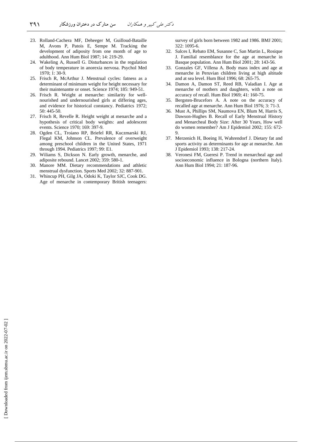- 23. Rolland-Cachera MF, Deheeger M, Guilloud-Bataille M, Avons P, Patois E, Sempe M. Tracking the development of adiposity from one month of age to adulthood. Ann Hum Biol 1987; 14: 219-29.
- 24. Wakeling A, Russell G. Disturbances in the regulation of body temperature in anorexia nervosa. Psychol Med 1970; 1: 30-9.
- 25. Frisch R, McArthur J. Menstrual cycles: fatness as a determinant of minimum weight for height necessary for their maintenantte or onset. Science 1974; 185: 949-51.
- 26. Frisch R. Weight at menarche: similarity for wellnourished and undernourished girls at differing ages, and evidence for historical constancy. Pediatrics 1972; 50: 445-50.
- 27. Frisch R, Revelle R. Height weight at menarche and a hypothesis of critical body weights: and adolescent events. Science 1970; 169: 397-9.
- 28. Ogden CL, Troiano RP, Briefel RR, Kuczmarski RJ, Flegal KM, Johnson CL. Prevalence of overweight among preschool children in the United States, 1971 through 1994. Pediatrics 1997; 99: E1.
- 29. Wiliams S, Dickson N. Early growth, menarche, and adiposite rebound. Lancet 2002; 359: 580-1.
- 30. Manore MM. Dietary recommendations and athletic menstrual dysfunction. Sports Med 2002; 32: 887-901.
- 31. Whincup PH, Gilg JA, Odoki K, Taylor SJC, Cook DG. Age of menarche in contemporary British teenagers:

survey of girls born between 1982 and 1986. BMJ 2001;  $322 \cdot 1095 - 6$ 

- 32. Salces I, Rebato EM, Susanne C, San Martin L, Rosique J. Familial resemblance for the age at menarche in Basque population. Ann Hum Biol 2001; 28: 143-56.
- 33. Gonzales GF, Villena A. Body mass index and age at menarche in Peruvian children living at high altitude and at sea level. Hum Biol 1996; 68: 265-75.
- 34. Damon A, Damon ST, Reed RB, Valadian I. Age at menarche of mothers and daughters, with a note on accuracy of recall. Hum Biol 1969; 41: 160-75.
- 35. Bergsten-Brucefors A. A note on the accuracy of recalled age at menarche. Ann Hum Biol 1976; 3: 71-3.
- 36. Must A, Phillips SM, Naumova EN, Blum M, Harris S, Dawson-Hughes B. Recall of Early Menstrual History and Menarcheal Body Size: After 30 Years, How well do women remember? Am J Epidemiol 2002; 155: 672- 9.
- 37. Merzenich H, Boeing H, Wahrendorf J. Dietary fat and sports activity as determinants for age at menarche. Am J Epidemiol 1993; 138: 217-24.
- 38. Veronesi FM, Gueresi P. Trend in menarcheal age and socioeconomic influence in Bologna (northern Italy). Ann Hum Biol 1994; 21: 187-96.